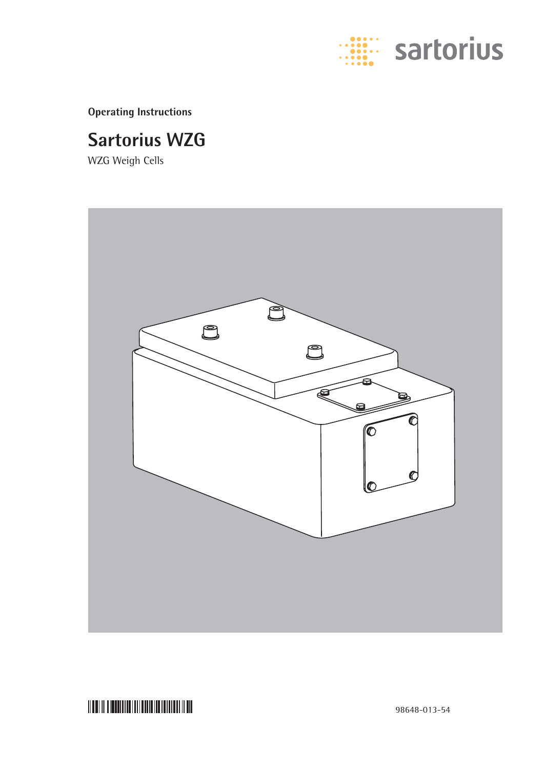

**Operating Instructions**

## **Sartorius WZG**

WZG Weigh Cells



<u> Mariji dibandini mandalari mashri</u>

98648-013-54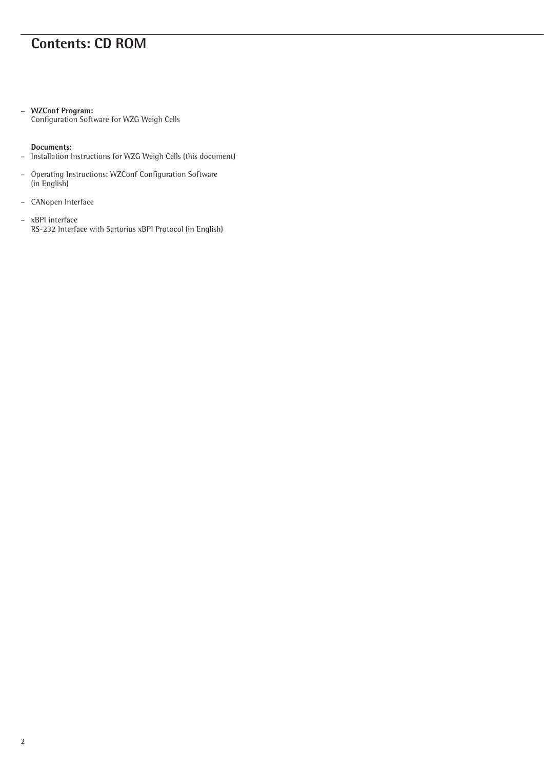## **Contents: CD ROM**

### **– WZConf Program:**

Configuration Software for WZG Weigh Cells

### **Documents:**

- Installation Instructions for WZG Weigh Cells (this document)
- Operating Instructions: WZConf Configuration Software (in English)
- CANopen Interface
- xBPI interface RS-232 Interface with Sartorius xBPI Protocol (in English)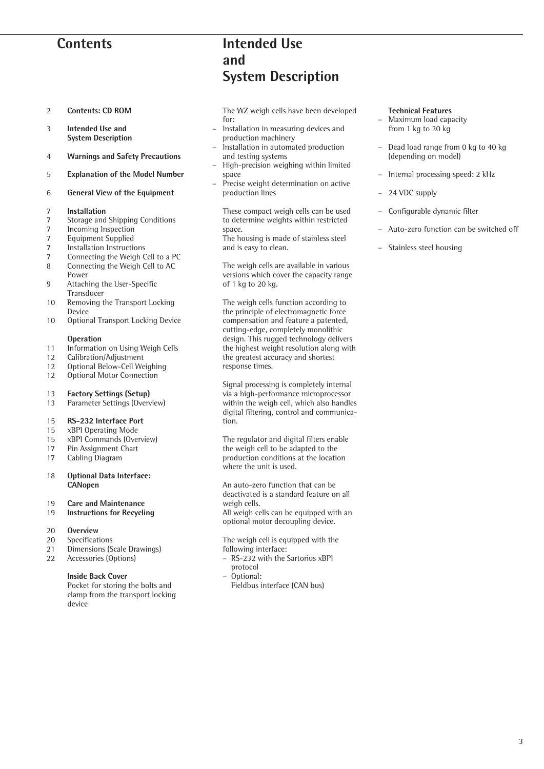## **Contents**

- 2 **Contents: CD ROM**
- 3 **Intended Use and System Description**
- 4 **Warnings and Safety Precautions**
- 5 **Explanation of the Model Number**
- 6 **General View of the Equipment**

#### 7 **Installation**

- 7 Storage and Shipping Conditions
- 7 Incoming Inspection<br>7 Foutnment Supplied
- Equipment Supplied
- 7 Installation Instructions<br>7 Connecting the Weigh C
- 7 Connecting the Weigh Cell to a PC<br>8 Connecting the Weigh Cell to AC
- Connecting the Weigh Cell to AC Power
- 9 Attaching the User-Specific **Transducer**
- 10 Removing the Transport Locking Device
- 10 Optional Transport Locking Device

#### **Operation**

- 11 Information on Using Weigh Cells
- 12 Calibration/Adjustment
- 12 Optional Below-Cell Weighing<br>12 Optional Motor Connection
- Optional Motor Connection

## 13 **Factory Settings (Setup)**

Parameter Settings (Overview)

## 15 **RS-232 Interface Port**

- xBPI Operating Mode
- 15 xBPI Commands (Overview)
- 17 Pin Assignment Chart<br>17 Cabling Diagram
- Cabling Diagram
- 18 **Optional Data Interface: CANopen**
- 19 **Care and Maintenance**
- **Instructions for Recycling**

#### 20 **Overview**

- 20 Specifications
- 21 Dimensions (Scale Drawings)
- 22 Accessories (Options)

### **Inside Back Cover**

Pocket for storing the bolts and clamp from the transport locking device

## **Intended Use and System Description**

The WZ weigh cells have been developed for:

- Installation in measuring devices and production machinery
- Installation in automated production and testing systems
- High-precision weighing within limited space
- Precise weight determination on active production lines

These compact weigh cells can be used to determine weights within restricted space.

The housing is made of stainless steel and is easy to clean.

The weigh cells are available in various versions which cover the capacity range of 1 kg to 20 kg.

The weigh cells function according to the principle of electromagnetic force compensation and feature a patented, cutting-edge, completely monolithic design. This rugged technology delivers the highest weight resolution along with the greatest accuracy and shortest response times.

Signal processing is completely internal via a high-performance microprocessor within the weigh cell, which also handles digital filtering, control and communication.

The regulator and digital filters enable the weigh cell to be adapted to the production conditions at the location where the unit is used.

An auto-zero function that can be deactivated is a standard feature on all weigh cells.

All weigh cells can be equipped with an optional motor decoupling device.

The weigh cell is equipped with the following interface:

- RS-232 with the Sartorius xBPI protocol
- Optional:
	- Fieldbus interface (CAN bus)

### **Technical Features**

- Maximum load capacity from 1 kg to 20 kg
- Dead load range from 0 kg to 40 kg (depending on model)
- Internal processing speed: 2 kHz
- 24 VDC supply
- Configurable dynamic filter
- Auto-zero function can be switched off
- Stainless steel housing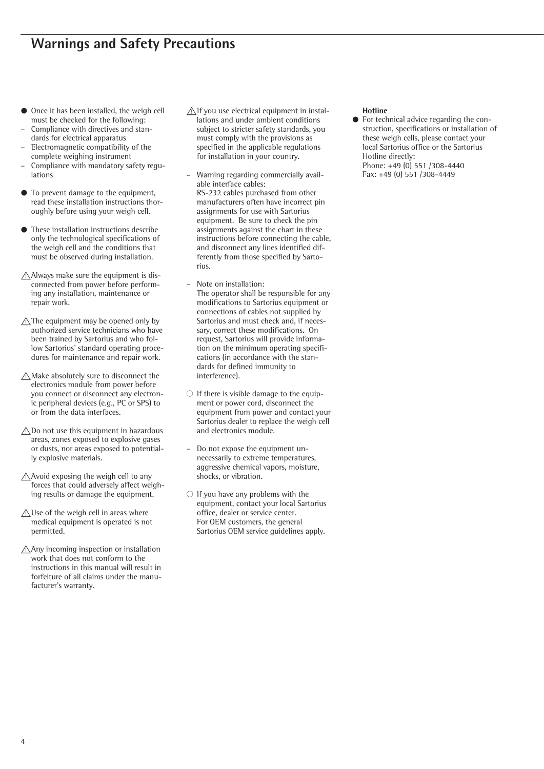- Once it has been installed, the weigh cell must be checked for the following:
- Compliance with directives and standards for electrical apparatus
- Electromagnetic compatibility of the complete weighing instrument
- Compliance with mandatory safety regulations
- § To prevent damage to the equipment, read these installation instructions thoroughly before using your weigh cell.
- § These installation instructions describe only the technological specifications of the weigh cell and the conditions that must be observed during installation.
- !Always make sure the equipment is disconnected from power before performing any installation, maintenance or repair work.
- $\triangle$  The equipment may be opened only by authorized service technicians who have been trained by Sartorius and who follow Sartorius' standard operating procedures for maintenance and repair work.
- $\bigwedge$  Make absolutely sure to disconnect the electronics module from power before you connect or disconnect any electronic peripheral devices (e.g., PC or SPS) to or from the data interfaces.
- $\triangle$ Do not use this equipment in hazardous areas, zones exposed to explosive gases or dusts, nor areas exposed to potentially explosive materials.
- Avoid exposing the weigh cell to any forces that could adversely affect weighing results or damage the equipment.
- $\triangle$ Use of the weigh cell in areas where medical equipment is operated is not permitted.
- !Any incoming inspection or installation work that does not conform to the instructions in this manual will result in forfeiture of all claims under the manufacturer's warranty.
- $\bigwedge$ If you use electrical equipment in installations and under ambient conditions subject to stricter safety standards, you must comply with the provisions as specified in the applicable regulations for installation in your country.
- Warning regarding commercially available interface cables: RS-232 cables purchased from other manufacturers often have incorrect pin assignments for use with Sartorius equipment. Be sure to check the pin assignments against the chart in these instructions before connecting the cable, and disconnect any lines identified differently from those specified by Sartorius.
- Note on installation: The operator shall be responsible for any modifications to Sartorius equipment or connections of cables not supplied by Sartorius and must check and, if necessary, correct these modifications. On request, Sartorius will provide information on the minimum operating specifications (in accordance with the standards for defined immunity to interference).
- $\bigcirc$  If there is visible damage to the equipment or power cord, disconnect the equipment from power and contact your Sartorius dealer to replace the weigh cell and electronics module.
- Do not expose the equipment unnecessarily to extreme temperatures, aggressive chemical vapors, moisture, shocks, or vibration.
- $\bigcirc$  If you have any problems with the equipment, contact your local Sartorius office, dealer or service center. For OEM customers, the general Sartorius OEM service guidelines apply.

## **Hotline**

For technical advice regarding the construction, specifications or installation of these weigh cells, please contact your local Sartorius office or the Sartorius Hotline directly: Phone: +49 (0) 551 /308-4440 Fax: +49 (0) 551 /308-4449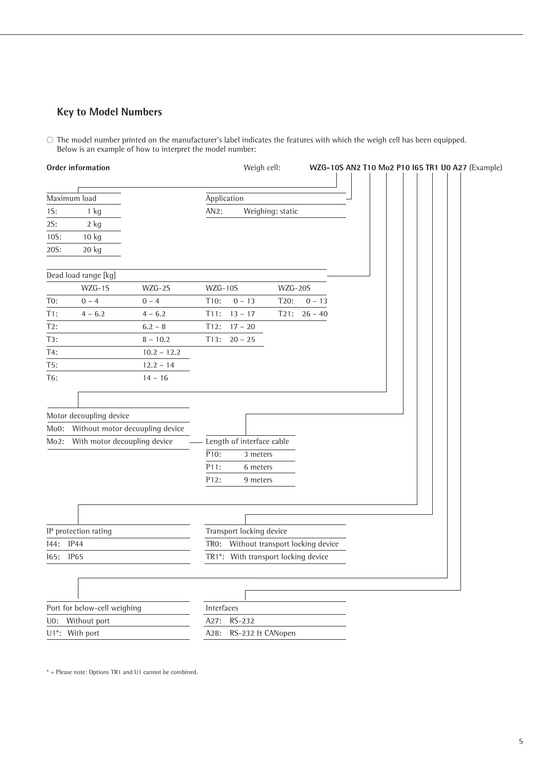## **Key to Model Numbers**

 $\circlearrowright$  The model number printed on the manufacturer's label indicates the features with which the weigh cell has been equipped. Below is an example of how to interpret the model number:

|      | Order information            |                                 | Weigh cell:<br>WZG-10S AN2 T10 Mo2 P10 I65 TR1 U0 A27 (Example) |
|------|------------------------------|---------------------------------|-----------------------------------------------------------------|
|      | Maximum load                 |                                 |                                                                 |
|      |                              |                                 | Application                                                     |
| 1S:  | $1$ kg                       |                                 | Weighing: static<br>AN2:                                        |
| 2S:  | $2$ kg                       |                                 |                                                                 |
| 10S: | $10$ kg                      |                                 |                                                                 |
| 20S: | 20 kg                        |                                 |                                                                 |
|      | Dead load range [kg]         |                                 |                                                                 |
|      | WZG-1S                       | WZG-2S                          | $WZG-10S$<br>WZG-20S                                            |
| T0:  | $0 - 4$                      | $0 - 4$                         | T10:<br>$0 - 13$<br>T20:<br>$0 - 13$                            |
| T1:  | $4 - 6.2$                    | $4 - 6.2$                       | $26 - 40$<br>T11:<br>$13 - 17$<br>T21:                          |
| T2:  |                              | $6.2 - 8$                       | T12:<br>$17 - 20$                                               |
| T3:  |                              | $8 - 10.2$                      | T13:<br>$20 - 25$                                               |
| T4:  |                              | $10.2 - 12.2$                   |                                                                 |
| T5:  |                              | $12.2 - 14$                     |                                                                 |
| T6:  |                              | $14 - 16$                       |                                                                 |
|      |                              |                                 |                                                                 |
|      | Motor decoupling device      |                                 |                                                                 |
| Mo0: |                              | Without motor decoupling device |                                                                 |
| Mo2: | With motor decoupling device |                                 | - Length of interface cable                                     |
|      |                              |                                 | $\overline{P10}$ :<br>3 meters                                  |
|      |                              |                                 | P11:<br>6 meters                                                |
|      |                              |                                 | P12:<br>9 meters                                                |
|      |                              |                                 |                                                                 |
|      |                              |                                 |                                                                 |
|      |                              |                                 |                                                                 |
|      | IP protection rating         |                                 | Transport locking device                                        |
| 144: | <b>IP44</b>                  |                                 | Without transport locking device<br>TRO:                        |
| 165: | <b>IP65</b>                  |                                 | TR1*: With transport locking device                             |
|      |                              |                                 |                                                                 |
|      |                              |                                 |                                                                 |
|      | Port for below-cell weighing |                                 | Interfaces                                                      |
|      | U0: Without port             |                                 | RS-232<br>A27:                                                  |
|      | U1*: With port               |                                 | A28:<br>RS-232 & CANopen                                        |

\* = Please note: Options TR1 and U1 cannot be combined.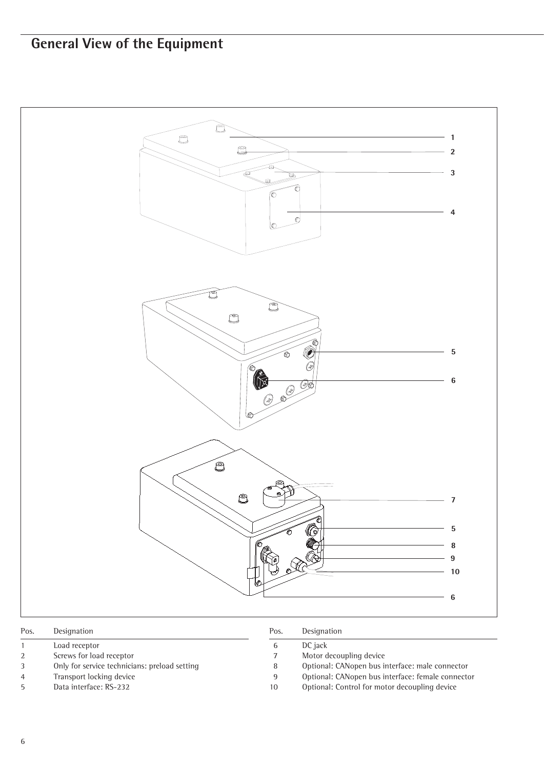## **General View of the Equipment**



| Pos.           | Designation                                   | Pos. | Designation                                       |
|----------------|-----------------------------------------------|------|---------------------------------------------------|
|                | Load receptor                                 | 6    | DC jack                                           |
|                | Screws for load receptor                      |      | Motor decoupling device                           |
|                | Only for service technicians: preload setting | 8    | Optional: CANopen bus interface: male connector   |
| $\overline{4}$ | Transport locking device                      | 9    | Optional: CANopen bus interface: female connector |
| $\mathbf{h}$   | Data interface: RS-232                        | 10   | Optional: Control for motor decoupling device     |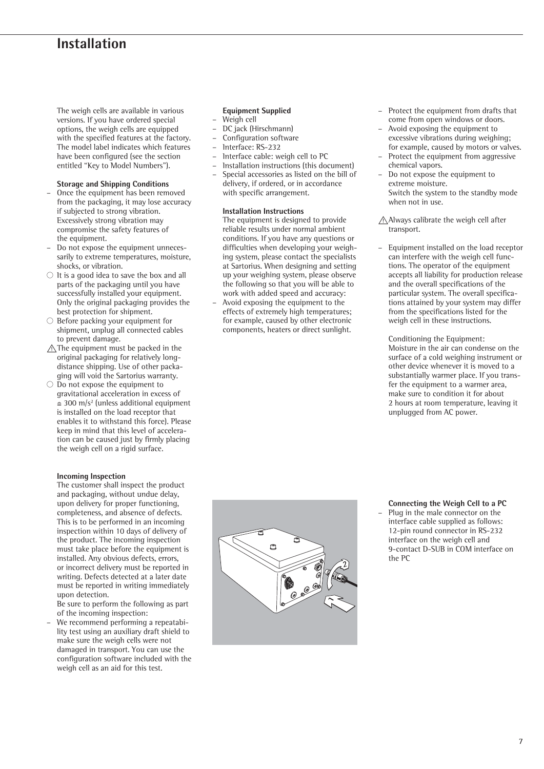## **Installation**

The weigh cells are available in various versions. If you have ordered special options, the weigh cells are equipped with the specified features at the factory. The model label indicates which features have been configured (see the section entitled "Key to Model Numbers").

## **Storage and Shipping Conditions**

- Once the equipment has been removed from the packaging, it may lose accuracy if subjected to strong vibration. Excessively strong vibration may compromise the safety features of the equipment.
- Do not expose the equipment unnecessarily to extreme temperatures, moisture, shocks, or vibration.
- $\circlearrowright$  It is a good idea to save the box and all parts of the packaging until you have successfully installed your equipment. Only the original packaging provides the best protection for shipment.
- $\circ$  Before packing your equipment for shipment, unplug all connected cables to prevent damage.
- $\triangle$  The equipment must be packed in the original packaging for relatively longdistance shipping. Use of other packaging will void the Sartorius warranty.
- $\overline{O}$  Do not expose the equipment to gravitational acceleration in excess of  $\approx$  300 m/s<sup>2</sup> (unless additional equipment is installed on the load receptor that enables it to withstand this force). Please keep in mind that this level of acceleration can be caused just by firmly placing the weigh cell on a rigid surface.

### **Incoming Inspection**

The customer shall inspect the product and packaging, without undue delay, upon delivery for proper functioning, completeness, and absence of defects. This is to be performed in an incoming inspection within 10 days of delivery of the product. The incoming inspection must take place before the equipment is installed. Any obvious defects, errors, or incorrect delivery must be reported in writing. Defects detected at a later date must be reported in writing immediately upon detection.

Be sure to perform the following as part of the incoming inspection:

– We recommend performing a repeatability test using an auxiliary draft shield to make sure the weigh cells were not damaged in transport. You can use the configuration software included with the weigh cell as an aid for this test.

## **Equipment Supplied**

- Weigh cell
- DC jack (Hirschmann)
- Configuration software
- Interface:  $RS-232$ <br>
Interface cable: w
- Interface cable: weigh cell to PC
- Installation instructions (this document) – Special accessories as listed on the bill of delivery, if ordered, or in accordance with specific arrangement.

#### **Installation Instructions**

The equipment is designed to provide reliable results under normal ambient conditions. If you have any questions or difficulties when developing your weighing system, please contact the specialists at Sartorius. When designing and setting up your weighing system, please observe the following so that you will be able to work with added speed and accuracy:

– Avoid exposing the equipment to the effects of extremely high temperatures; for example, caused by other electronic components, heaters or direct sunlight.

- Protect the equipment from drafts that come from open windows or doors.
- Avoid exposing the equipment to excessive vibrations during weighing; for example, caused by motors or valves.
- Protect the equipment from aggressive chemical vapors.
- Do not expose the equipment to extreme moisture. Switch the system to the standby mode when not in use.

 $\bigwedge$ Always calibrate the weigh cell after transport.

– Equipment installed on the load receptor can interfere with the weigh cell functions. The operator of the equipment accepts all liability for production release and the overall specifications of the particular system. The overall specifications attained by your system may differ from the specifications listed for the weigh cell in these instructions.

Conditioning the Equipment: Moisture in the air can condense on the surface of a cold weighing instrument or other device whenever it is moved to a substantially warmer place. If you transfer the equipment to a warmer area, make sure to condition it for about 2 hours at room temperature, leaving it unplugged from AC power.



- **Connecting the Weigh Cell to a PC**
- Plug in the male connector on the interface cable supplied as follows: 12-pin round connector in RS-232 interface on the weigh cell and 9-contact D-SUB in COM interface on the PC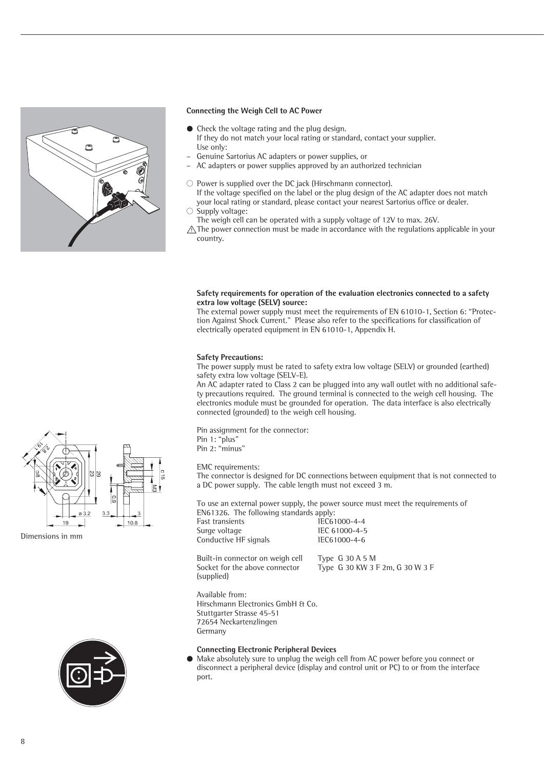

### **Connecting the Weigh Cell to AC Power**

- Check the voltage rating and the plug design. If they do not match your local rating or standard, contact your supplier. Use only:
- Genuine Sartorius AC adapters or power supplies, or
- AC adapters or power supplies approved by an authorized technician
- $\circlearrowright$  Power is supplied over the DC jack (Hirschmann connector). If the voltage specified on the label or the plug design of the AC adapter does not match your local rating or standard, please contact your nearest Sartorius office or dealer.
- $\circ$  Supply voltage:
- The weigh cell can be operated with a supply voltage of 12V to max. 26V.

 $\triangle$  The power connection must be made in accordance with the regulations applicable in your country.

### **Safety requirements for operation of the evaluation electronics connected to a safety extra low voltage (SELV) source:**

The external power supply must meet the requirements of EN 61010-1, Section 6: "Protection Against Shock Current." Please also refer to the specifications for classification of electrically operated equipment in EN 61010-1, Appendix H.

### **Safety Precautions:**

The power supply must be rated to safety extra low voltage (SELV) or grounded (earthed) safety extra low voltage (SELV-E).

An AC adapter rated to Class 2 can be plugged into any wall outlet with no additional safety precautions required. The ground terminal is connected to the weigh cell housing. The electronics module must be grounded for operation. The data interface is also electrically connected (grounded) to the weigh cell housing.

Pin assignment for the connector: Pin 1: "plus" Pin 2: "minus"

EMC requirements:

The connector is designed for DC connections between equipment that is not connected to a DC power supply. The cable length must not exceed 3 m.

To use an external power supply, the power source must meet the requirements of EN61326. The following standards apply:

| Fast transients       | IEC61000-4-4  |
|-----------------------|---------------|
| Surge voltage         | IEC 61000-4-5 |
| Conductive HF signals | IEC61000-4-6  |

Built-in connector on weigh cell Type G 30 A 5 M<br>Socket for the above connector Type G 30 KW 3 1 (supplied)

Type G 30 KW 3 F 2m, G 30 W 3 F

Available from: Hirschmann Electronics GmbH & Co. Stuttgarter Strasse 45-51 72654 Neckartenzlingen Germany

### **Connecting Electronic Peripheral Devices**

Make absolutely sure to unplug the weigh cell from AC power before you connect or disconnect a peripheral device (display and control unit or PC) to or from the interface port.



Dimensions in mm

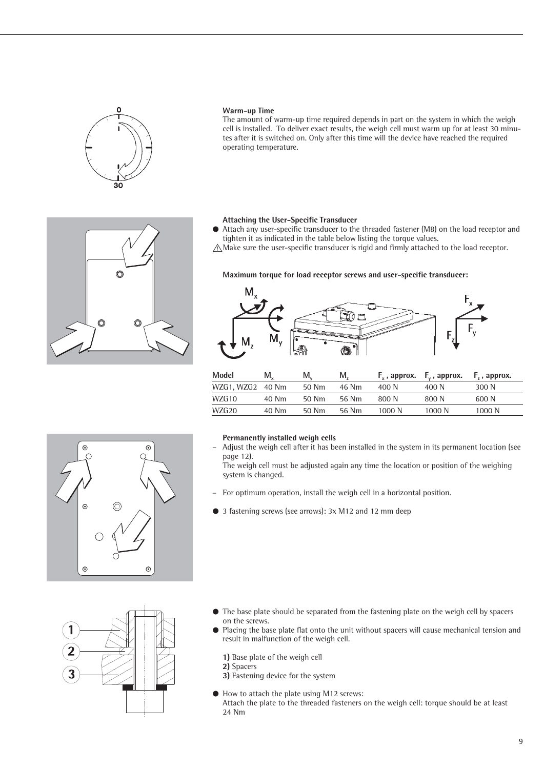

### **Warm-up Time**

The amount of warm-up time required depends in part on the system in which the weigh cell is installed. To deliver exact results, the weigh cell must warm up for at least 30 minutes after it is switched on. Only after this time will the device have reached the required operating temperature.

## **Attaching the User-Specific Transducer**

- § Attach any user-specific transducer to the threaded fastener (M8) on the load receptor and tighten it as indicated in the table below listing the torque values.
- $\triangle$  Make sure the user-specific transducer is rigid and firmly attached to the load receptor.

 $\Omega$ 

 $\odot$ 

 $\odot$ 

## **Maximum torque for load receptor screws and user-specific transducer:**



| Model            | M.    | M.,   | М.    |        | $F_x$ , approx. $F_y$ , approx. | F, , approx. |
|------------------|-------|-------|-------|--------|---------------------------------|--------------|
| WZG1, WZG2 40 Nm |       | 50 Nm | 46 Nm | 400 N  | 400 N                           | 300 N        |
| WZG 10           | 40 Nm | 50 Nm | 56 Nm | 800 N  | 800 N                           | 600 N        |
| WZG20            | 40 Nm | 50 Nm | 56 Nm | 1000 N | 1000 N                          | 1000 N       |



 $\odot$ 

#### **Permanently installed weigh cells**

– Adjust the weigh cell after it has been installed in the system in its permanent location (see page 12).

The weigh cell must be adjusted again any time the location or position of the weighing system is changed.

- For optimum operation, install the weigh cell in a horizontal position.
- § 3 fastening screws (see arrows): 3x M12 and 12 mm deep



- § The base plate should be separated from the fastening plate on the weigh cell by spacers on the screws.
- Placing the base plate flat onto the unit without spacers will cause mechanical tension and result in malfunction of the weigh cell.

**1)** Base plate of the weigh cell

**2)** Spacers

**3)** Fastening device for the system

§ How to attach the plate using M12 screws: Attach the plate to the threaded fasteners on the weigh cell: torque should be at least 24 Nm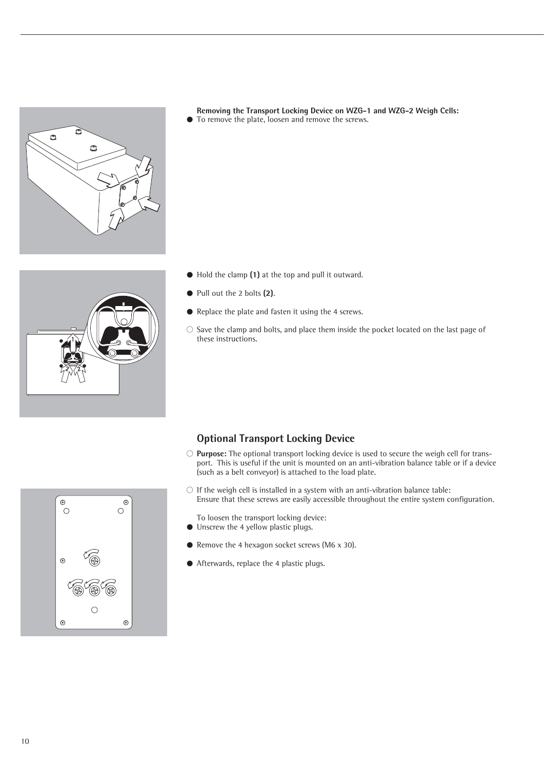

**Removing the Transport Locking Device on WZG-1 and WZG-2 Weigh Cells:** § To remove the plate, loosen and remove the screws.

- 
- § Hold the clamp **(1)** at the top and pull it outward.
- § Pull out the 2 bolts **(2)**.
- § Replace the plate and fasten it using the 4 screws.
- $\circlearrowright$  Save the clamp and bolts, and place them inside the pocket located on the last page of these instructions.



## **Optional Transport Locking Device**

- $\circ$  **Purpose:** The optional transport locking device is used to secure the weigh cell for transport. This is useful if the unit is mounted on an anti-vibration balance table or if a device (such as a belt conveyor) is attached to the load plate.
- $\bigcirc$  If the weigh cell is installed in a system with an anti-vibration balance table: Ensure that these screws are easily accessible throughout the entire system configuration.
- To loosen the transport locking device:
- Unscrew the 4 yellow plastic plugs.
- Remove the 4 hexagon socket screws (M6 x 30).
- § Afterwards, replace the 4 plastic plugs.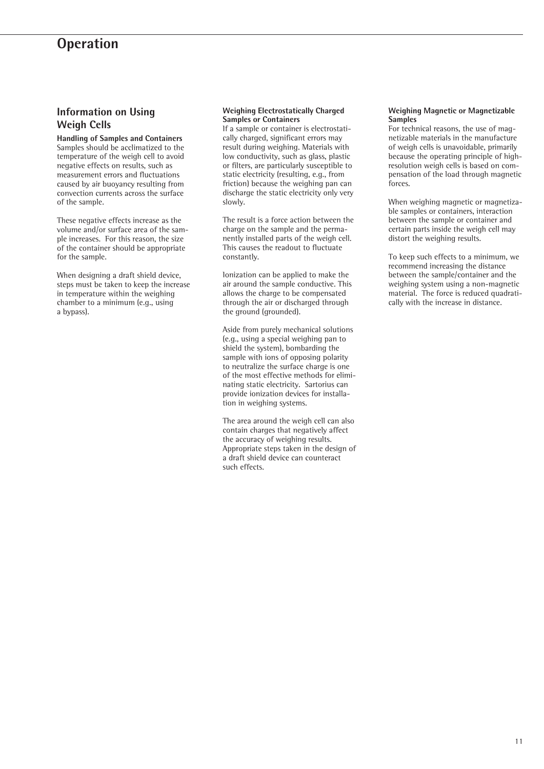## **Operation**

## **Information on Using Weigh Cells**

**Handling of Samples and Containers**  Samples should be acclimatized to the temperature of the weigh cell to avoid negative effects on results, such as measurement errors and fluctuations caused by air buoyancy resulting from convection currents across the surface of the sample.

These negative effects increase as the volume and/or surface area of the sample increases. For this reason, the size of the container should be appropriate for the sample.

When designing a draft shield device, steps must be taken to keep the increase in temperature within the weighing chamber to a minimum (e.g., using a bypass).

#### **Weighing Electrostatically Charged Samples or Containers**

If a sample or container is electrostatically charged, significant errors may result during weighing. Materials with low conductivity, such as glass, plastic or filters, are particularly susceptible to static electricity (resulting, e.g., from friction) because the weighing pan can discharge the static electricity only very slowly.

The result is a force action between the charge on the sample and the permanently installed parts of the weigh cell. This causes the readout to fluctuate constantly.

Ionization can be applied to make the air around the sample conductive. This allows the charge to be compensated through the air or discharged through the ground (grounded).

Aside from purely mechanical solutions (e.g., using a special weighing pan to shield the system), bombarding the sample with ions of opposing polarity to neutralize the surface charge is one of the most effective methods for eliminating static electricity. Sartorius can provide ionization devices for installation in weighing systems.

The area around the weigh cell can also contain charges that negatively affect the accuracy of weighing results. Appropriate steps taken in the design of a draft shield device can counteract such effects.

#### **Weighing Magnetic or Magnetizable Samples**

For technical reasons, the use of magnetizable materials in the manufacture of weigh cells is unavoidable, primarily because the operating principle of highresolution weigh cells is based on compensation of the load through magnetic forces.

When weighing magnetic or magnetizable samples or containers, interaction between the sample or container and certain parts inside the weigh cell may distort the weighing results.

To keep such effects to a minimum, we recommend increasing the distance between the sample/container and the weighing system using a non-magnetic material. The force is reduced quadratically with the increase in distance.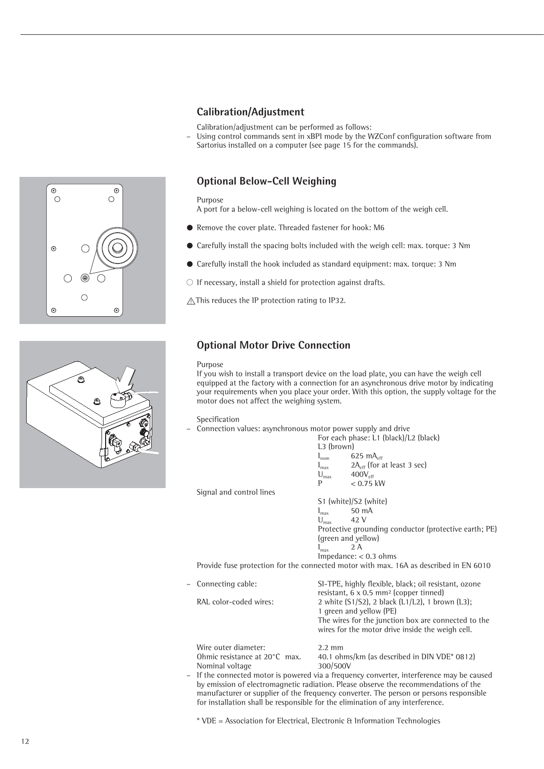## **Calibration/Adjustment**

Calibration/adjustment can be performed as follows:

– Using control commands sent in xBPI mode by the WZConf configuration software from Sartorius installed on a computer (see page 15 for the commands).

## **Optional Below-Cell Weighing**

Purpose

A port for a below-cell weighing is located on the bottom of the weigh cell.

- Remove the cover plate. Threaded fastener for hook: M6
- Carefully install the spacing bolts included with the weigh cell: max. torque: 3 Nm
- § Carefully install the hook included as standard equipment: max. torque: 3 Nm

 $\circ$  If necessary, install a shield for protection against drafts.

 $\triangle$  This reduces the IP protection rating to IP32.

## **Optional Motor Drive Connection**

### Purpose

If you wish to install a transport device on the load plate, you can have the weigh cell equipped at the factory with a connection for an asynchronous drive motor by indicating your requirements when you place your order. With this option, the supply voltage for the motor does not affect the weighing system.

## Specification

– Connection values: asynchronous motor power supply and drive

|                                  |                                       | For each phase: L1 (black)/L2 (black)                                                                             |
|----------------------------------|---------------------------------------|-------------------------------------------------------------------------------------------------------------------|
|                                  | L <sub>3</sub> (brown)                |                                                                                                                   |
|                                  | $I_{\text{nom}}$                      | $625 \text{ mA}_{\text{eff}}$                                                                                     |
|                                  |                                       | $l_{\text{max}}$ 2A <sub>eff</sub> (for at least 3 sec)                                                           |
|                                  | $U_{\text{max}}$ 400 $V_{\text{eff}}$ |                                                                                                                   |
|                                  | P                                     | $< 0.75$ kW                                                                                                       |
| Signal and control lines         |                                       |                                                                                                                   |
|                                  |                                       | S1 (white)/S2 (white)                                                                                             |
|                                  | $I_{max}$ 50 mA                       |                                                                                                                   |
|                                  | $U_{\text{max}}$                      | 42 V                                                                                                              |
|                                  |                                       | Protective grounding conductor (protective earth; PE)                                                             |
|                                  |                                       | (green and yellow)                                                                                                |
|                                  | $I_{\text{max}}$                      | 2 A                                                                                                               |
|                                  |                                       | Impedance: $< 0.3$ ohms                                                                                           |
|                                  |                                       | Provide fuse protection for the connected motor with max. 16A as described in EN 6010                             |
| Connecting cable:                |                                       | SI-TPE, highly flexible, black; oil resistant, ozone<br>resistant, $6 \times 0.5$ mm <sup>2</sup> (copper tinned) |
| D <sub>N</sub> color coded wires |                                       | $2 \text{ which } (51/52)$ $2 \text{ block } (11/12)$ $1 \text{ brown } (12)$ .                                   |

| - Connecting cable:<br>RAL color-coded wires: | SI-TPE, highly flexible, black; oil resistant, ozone<br>resistant, $6 \times 0.5$ mm <sup>2</sup> (copper tinned)<br>2 white (S1/S2), 2 black (L1/L2), 1 brown (L3);<br>1 green and yellow (PE)<br>The wires for the junction box are connected to the<br>wires for the motor drive inside the weigh cell. |
|-----------------------------------------------|------------------------------------------------------------------------------------------------------------------------------------------------------------------------------------------------------------------------------------------------------------------------------------------------------------|
| Wire outer diameter:                          | 2 2 mm                                                                                                                                                                                                                                                                                                     |

Ohmic resistance at 20°C max. Nominal voltage

 $40.1$  ohms/km (as described in DIN VDE\* 0812)<br> $300/500V$ 

If the connected motor is powered via a frequency converter, interference may be caused by emission of electromagnetic radiation. Please observe the recommendations of the manufacturer or supplier of the frequency converter. The person or persons responsible for installation shall be responsible for the elimination of any interference.

\* VDE = Association for Electrical, Electronic & Information Technologies



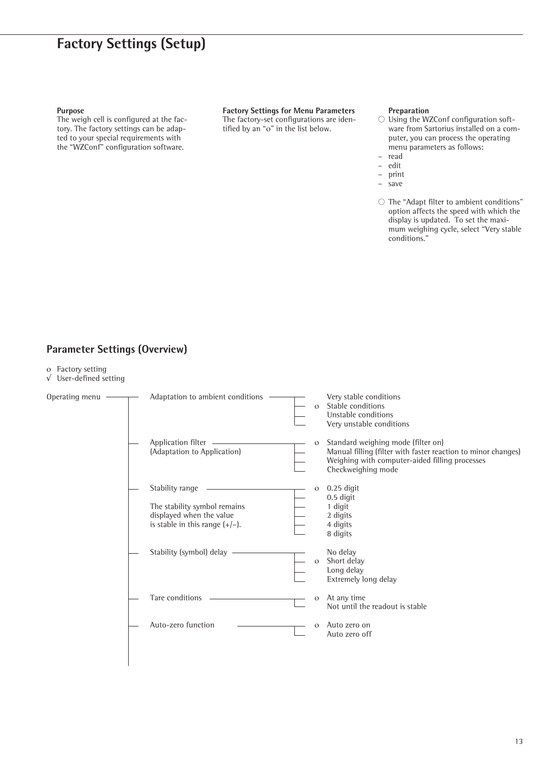## **Factory Settings (Setup)**

### **Purpose**

The weigh cell is configured at the factory. The factory settings can be adapted to your special requirements with the "WZConf" configuration software.

**Factory Settings for Menu Parameters**  The factory-set configurations are identified by an "ο" in the list below.

## **Preparation**

- $\bigcirc$  Using the WZConf configuration software from Sartorius installed on a computer, you can process the operating menu parameters as follows:
- read
- edit
- print<br>– save
	- save
- $\bigcirc$  The "Adapt filter to ambient conditions" option affects the speed with which the display is updated. To set the maximum weighing cycle, select "Very stable conditions."

## **Parameter Settings (Overview)**

- ο Factory setting
- √ User-defined setting

| Operating menu | Adaptation to ambient conditions                                                                                 | $\mathbf{O}$ | Very stable conditions<br>Stable conditions<br>Unstable conditions<br>Very unstable conditions                                                                              |
|----------------|------------------------------------------------------------------------------------------------------------------|--------------|-----------------------------------------------------------------------------------------------------------------------------------------------------------------------------|
|                | Application filter ______<br>(Adaptation to Application)                                                         | $\circ$      | Standard weighing mode (filter on)<br>Manual filling (filter with faster reaction to minor changes)<br>Weighing with computer-aided filling processes<br>Checkweighing mode |
|                | Stability range<br>The stability symbol remains<br>displayed when the value<br>is stable in this range $(+/-)$ . | $\mathbf{O}$ | $0.25$ digit<br>0.5 digit<br>1 digit<br>2 digits<br>4 digits<br>8 digits                                                                                                    |
|                | Stability (symbol) delay                                                                                         | $\mathbf{O}$ | No delay<br>Short delay<br>Long delay<br>Extremely long delay                                                                                                               |
|                | Tare conditions                                                                                                  | $\mathbf{O}$ | At any time<br>Not until the readout is stable                                                                                                                              |
|                | Auto-zero function                                                                                               | $\mathbf{O}$ | Auto zero on<br>Auto zero off                                                                                                                                               |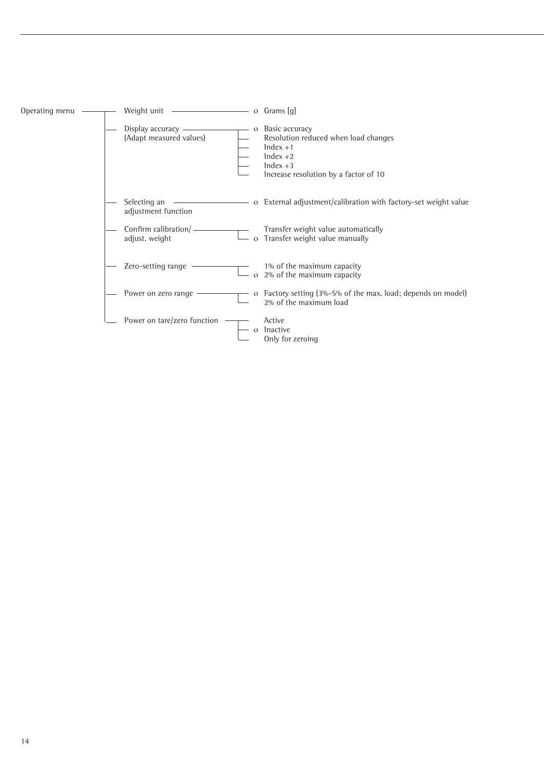| Operating menu | Weight unit <u>example</u>                         |              | $\circ$ Grams [q]                                                                                                                         |
|----------------|----------------------------------------------------|--------------|-------------------------------------------------------------------------------------------------------------------------------------------|
|                | Display accuracy $\_\_$<br>(Adapt measured values) | $\mathbf{O}$ | Basic accuracy<br>Resolution reduced when load changes<br>$Index +1$<br>$Index +2$<br>$Index +3$<br>Increase resolution by a factor of 10 |
|                | Selecting an<br>adjustment function                |              | o External adjustment/calibration with factory-set weight value                                                                           |
|                | Confirm calibration/-<br>adjust. weight            |              | Transfer weight value automatically<br>o Transfer weight value manually                                                                   |
|                | Zero-setting range                                 | $\Omega$     | 1% of the maximum capacity<br>2% of the maximum capacity                                                                                  |
|                | Power on zero range                                |              | o Factory setting (3%-5% of the max. load; depends on model)<br>2% of the maximum load                                                    |
|                | Power on tare/zero function                        |              | Active<br>Inactive<br>Only for zeroing                                                                                                    |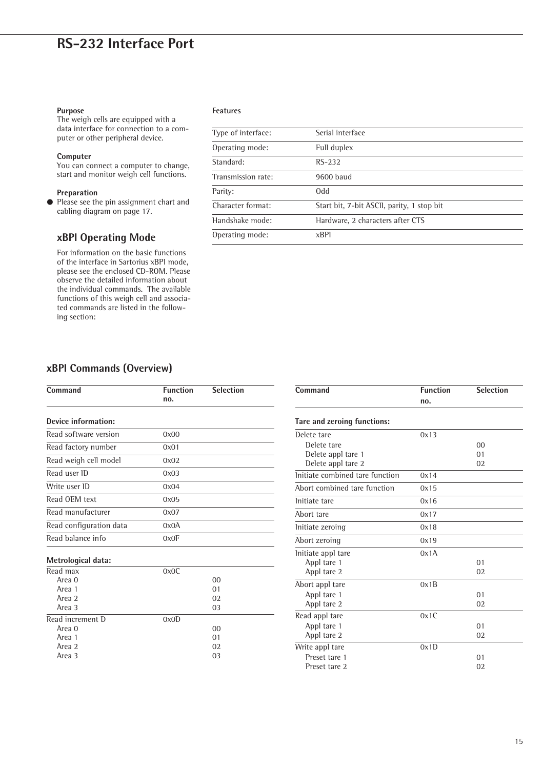## **RS-232 Interface Port**

## **Purpose**

The weigh cells are equipped with a data interface for connection to a computer or other peripheral device.

## **Computer**

You can connect a computer to change, start and monitor weigh cell functions.

## **Preparation**

Please see the pin assignment chart and cabling diagram on page 17.

## **xBPI Operating Mode**

For information on the basic functions of the interface in Sartorius xBPI mode, please see the enclosed CD-ROM. Please observe the detailed information about the individual commands. The available functions of this weigh cell and associated commands are listed in the following section:

## **Features**

| Type of interface: | Serial interface                           |
|--------------------|--------------------------------------------|
| Operating mode:    | Full duplex                                |
| Standard:          | $RS-232$                                   |
| Transmission rate: | 9600 baud                                  |
| Parity:            | <b>bbO</b>                                 |
| Character format:  | Start bit, 7-bit ASCII, parity, 1 stop bit |
| Handshake mode:    | Hardware, 2 characters after CTS           |
| Operating mode:    | xBP1                                       |

## **xBPI Commands (Overview)**

| Command                 | <b>Function</b><br>no. | <b>Selection</b> |
|-------------------------|------------------------|------------------|
| Device information:     |                        |                  |
| Read software version   | 0x00                   |                  |
| Read factory number     | 0x01                   |                  |
| Read weigh cell model   | 0x02                   |                  |
| Read user ID            | 0x03                   |                  |
| Write user ID           | 0x04                   |                  |
| Read OEM text           | 0x05                   |                  |
| Read manufacturer       | 0x07                   |                  |
| Read configuration data | 0x0A                   |                  |
| Read balance info       | 0x0F                   |                  |

| ivietrological data: |      |                |
|----------------------|------|----------------|
| Read max             | 0x0C |                |
| Area 0               |      | 00             |
| Area 1               |      | 0 <sub>1</sub> |
| Area 2               |      | 02             |
| Area 3               |      | 03             |
| Read increment D     | 0x0D |                |
| Area 0               |      | 00             |
| Area 1               |      | 01             |
| Area 2               |      | 02             |
| Area 3               |      | 0 <sub>3</sub> |
|                      |      |                |

| Command                         | <b>Function</b> | <b>Selection</b> |
|---------------------------------|-----------------|------------------|
|                                 | no.             |                  |
| Tare and zeroing functions:     |                 |                  |
| Delete tare                     | 0x13            |                  |
| Delete tare                     |                 | 0 <sub>0</sub>   |
| Delete appl tare 1              |                 | 01               |
| Delete appl tare 2              |                 | 02               |
| Initiate combined tare function | 0x14            |                  |
| Abort combined tare function    | 0x15            |                  |
| Initiate tare                   | 0x16            |                  |
| Abort tare                      | 0x17            |                  |
| Initiate zeroing                | 0x18            |                  |
| Abort zeroing                   | 0x19            |                  |
| Initiate appl tare              | 0x1A            |                  |
| Appl tare 1                     |                 | 01               |
| Appl tare 2                     |                 | 02               |
| Abort appl tare                 | 0x1B            |                  |
| Appl tare 1                     |                 | 01               |
| Appl tare 2                     |                 | 02               |
| Read appl tare                  | 0x1C            |                  |
| Appl tare 1                     |                 | 01               |
| Appl tare 2                     |                 | 02               |
| Write appl tare                 | 0x1D            |                  |
| Preset tare 1                   |                 | 01               |
| Preset tare 2                   |                 | 02               |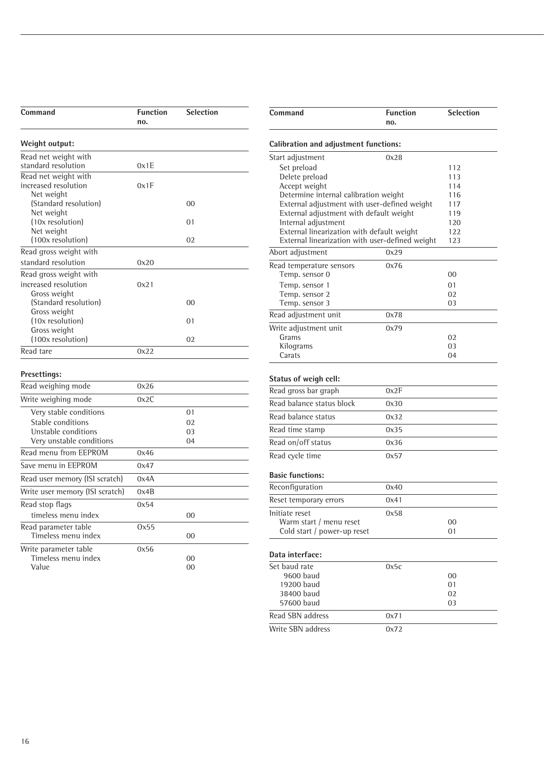| Command                                                    | <b>Function</b><br>no. | <b>Selection</b> |
|------------------------------------------------------------|------------------------|------------------|
| Weight output:                                             |                        |                  |
| Read net weight with<br>standard resolution                | 0x1E                   |                  |
| Read net weight with<br>increased resolution<br>Net weight | 0x1F                   |                  |
| (Standard resolution)<br>Net weight                        |                        | 0 <sup>0</sup>   |
| (10x resolution)<br>Net weight                             |                        | 01               |
| (100x resolution)                                          |                        | 02               |
| Read gross weight with<br>standard resolution              | 0x20                   |                  |
| Read gross weight with<br>increased resolution             | 0x21                   |                  |
| Gross weight<br>(Standard resolution)<br>Gross weight      |                        | 0 <sup>0</sup>   |
| (10x resolution)<br>Gross weight                           |                        | 01               |
| (100x resolution)                                          |                        | 02               |
| Read tare                                                  | 0x22                   |                  |
| <b>Presettings:</b>                                        |                        |                  |
| Read weighing mode                                         | 0x26                   |                  |
| Write weighing mode                                        | 0x2C                   |                  |
| Very stable conditions                                     |                        | 01               |
| Stable conditions                                          |                        | 02               |
| Unstable conditions<br>Very unstable conditions            |                        | 03<br>04         |
| Read menu from EEPROM                                      | 0x46                   |                  |
| Save menu in EEPROM                                        | 0x47                   |                  |
| Read user memory (ISI scratch)                             | 0x4A                   |                  |
| Write user memory (ISI scratch)                            | 0x4B                   |                  |
| Read stop flags                                            | 0x54                   |                  |
| timeless menu index                                        |                        | 00               |
| Read parameter table<br>Timeless menu index                | 0x55                   | 00               |

Write parameter table 0x56

Timeless menu index 00 Value 00

| Command                                                                                       | <b>Function</b><br>no. | <b>Selection</b> |  |  |
|-----------------------------------------------------------------------------------------------|------------------------|------------------|--|--|
| <b>Calibration and adjustment functions:</b>                                                  |                        |                  |  |  |
| Start adjustment                                                                              | 0x28                   |                  |  |  |
| Set preload                                                                                   |                        | 112              |  |  |
| Delete preload                                                                                |                        | 113              |  |  |
| Accept weight                                                                                 |                        | 114              |  |  |
| Determine internal calibration weight                                                         |                        | 116              |  |  |
| External adjustment with user-defined weight                                                  |                        | 117              |  |  |
| External adjustment with default weight                                                       |                        | 119              |  |  |
| Internal adjustment                                                                           |                        | 120<br>122       |  |  |
| External linearization with default weight<br>External linearization with user-defined weight |                        | 123              |  |  |
| Abort adjustment                                                                              | 0x29                   |                  |  |  |
| Read temperature sensors                                                                      | 0x76                   |                  |  |  |
| Temp. sensor 0                                                                                |                        | 00               |  |  |
| Temp. sensor 1                                                                                |                        | 01               |  |  |
| Temp. sensor 2                                                                                |                        | 02               |  |  |
| Temp. sensor 3                                                                                |                        | 03               |  |  |
| Read adjustment unit                                                                          | 0x78                   |                  |  |  |
| Write adjustment unit<br>Grams                                                                | 0x79                   | 02               |  |  |
| Kilograms                                                                                     |                        | 03               |  |  |
| Carats                                                                                        |                        | 04               |  |  |
|                                                                                               |                        |                  |  |  |
| Status of weigh cell:                                                                         |                        |                  |  |  |
| Read gross bar graph                                                                          | 0x2F                   |                  |  |  |
| Read balance status block                                                                     | 0x30                   |                  |  |  |
| Read balance status                                                                           | 0x32                   |                  |  |  |
| Read time stamp                                                                               | 0x35                   |                  |  |  |
| Read on/off status                                                                            | 0x36                   |                  |  |  |
| Read cycle time                                                                               | 0x57                   |                  |  |  |
| <b>Basic functions:</b>                                                                       |                        |                  |  |  |
| Reconfiguration                                                                               | 0x40                   |                  |  |  |
| Reset temporary errors                                                                        | 0x41                   |                  |  |  |
| Initiate reset                                                                                | 0x58                   |                  |  |  |
| Warm start / menu reset                                                                       |                        | 00               |  |  |
| Cold start / power-up reset                                                                   |                        | 01               |  |  |
|                                                                                               |                        |                  |  |  |
| Data interface:                                                                               |                        |                  |  |  |
| Set baud rate                                                                                 | 0x5c                   |                  |  |  |
| 9600 baud                                                                                     |                        | 00               |  |  |
| 19200 baud                                                                                    |                        | 01               |  |  |
| 38400 baud                                                                                    |                        | 02               |  |  |
| 57600 baud                                                                                    |                        | 03               |  |  |
| Read SBN address                                                                              | 0x71                   |                  |  |  |
| Write SBN address                                                                             | 0x72                   |                  |  |  |
|                                                                                               |                        |                  |  |  |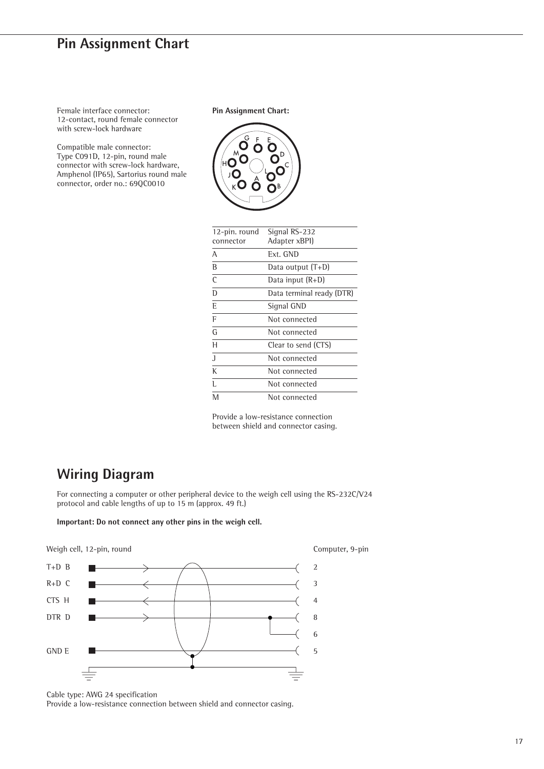## **Pin Assignment Chart**

Female interface connector: 12-contact, round female connector with screw-lock hardware

Compatible male connector: Type C091D, 12-pin, round male connector with screw-lock hardware, Amphenol (IP65), Sartorius round male connector, order no.: 69QC0010

**Pin Assignment Chart:**



| 12-pin. round<br>connector | Signal RS-232<br>Adapter xBPI) |
|----------------------------|--------------------------------|
| А                          | Ext. GND                       |
| B                          | Data output $(T+D)$            |
| C                          | Data input (R+D)               |
| D                          | Data terminal ready (DTR)      |
| E                          | Signal GND                     |
| F                          | Not connected                  |
| G                          | Not connected                  |
| Η                          | Clear to send (CTS)            |
| J                          | Not connected                  |
| К                          | Not connected                  |
| Ī.                         | Not connected                  |
| M                          | Not connected                  |

Provide a low-resistance connection between shield and connector casing.

## **Wiring Diagram**

For connecting a computer or other peripheral device to the weigh cell using the RS-232C/V24 protocol and cable lengths of up to 15 m (approx. 49 ft.)

**Important: Do not connect any other pins in the weigh cell.**



Cable type: AWG 24 specification

Provide a low-resistance connection between shield and connector casing.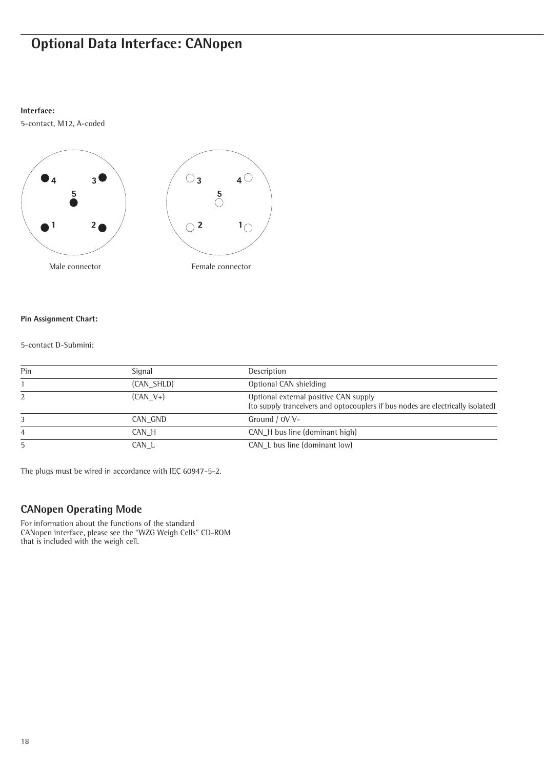## **Optional Data Interface: CANopen**

## **Interface:**

5-contact, M12, A-coded



## **Pin Assignment Chart:**

## 5-contact D-Submini:

| Pin | Signal     | Description                                                                                                              |
|-----|------------|--------------------------------------------------------------------------------------------------------------------------|
|     | (CAN SHLD) | Optional CAN shielding                                                                                                   |
| 2   | $(CAN V+)$ | Optional external positive CAN supply<br>(to supply tranceivers and optocouplers if bus nodes are electrically isolated) |
| 3   | CAN GND    | Ground / 0V V-                                                                                                           |
| 4   | CAN H      | CAN H bus line (dominant high)                                                                                           |
| 5   | CAN L      | CAN L bus line (dominant low)                                                                                            |

The plugs must be wired in accordance with IEC 60947-5-2.

## **CANopen Operating Mode**

For information about the functions of the standard CANopen interface, please see the "WZG Weigh Cells" CD-ROM that is included with the weigh cell.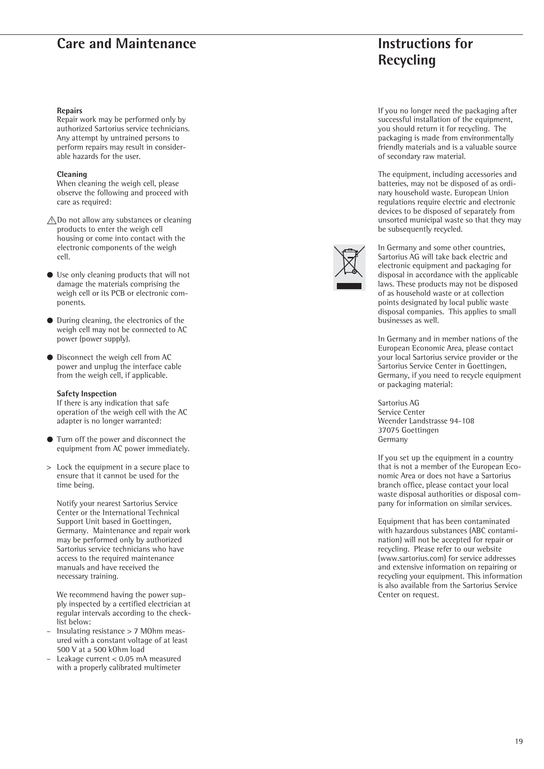## **Care and Maintenance Instructions for**

#### **Repairs**

Repair work may be performed only by authorized Sartorius service technicians. Any attempt by untrained persons to perform repairs may result in considerable hazards for the user.

### **Cleaning**

When cleaning the weigh cell, please observe the following and proceed with care as required:

- $\bigwedge$ Do not allow any substances or cleaning products to enter the weigh cell housing or come into contact with the electronic components of the weigh cell.
- § Use only cleaning products that will not damage the materials comprising the weigh cell or its PCB or electronic components.
- During cleaning, the electronics of the weigh cell may not be connected to AC power (power supply).
- Disconnect the weigh cell from AC power and unplug the interface cable from the weigh cell, if applicable.

#### **Safety Inspection**

If there is any indication that safe operation of the weigh cell with the AC adapter is no longer warranted:

- § Turn off the power and disconnect the equipment from AC power immediately.
- > Lock the equipment in a secure place to ensure that it cannot be used for the time being.

Notify your nearest Sartorius Service Center or the International Technical Support Unit based in Goettingen, Germany. Maintenance and repair work may be performed only by authorized Sartorius service technicians who have access to the required maintenance manuals and have received the necessary training.

We recommend having the power supply inspected by a certified electrician at regular intervals according to the checklist below:

- Insulating resistance > 7 MOhm measured with a constant voltage of at least 500 V at a 500 kOhm load
- Leakage current < 0.05 mA measured with a properly calibrated multimeter

# **Recycling**

If you no longer need the packaging after successful installation of the equipment, you should return it for recycling. The packaging is made from environmentally friendly materials and is a valuable source of secondary raw material.

The equipment, including accessories and batteries, may not be disposed of as ordinary household waste. European Union regulations require electric and electronic devices to be disposed of separately from unsorted municipal waste so that they may be subsequently recycled.



In Germany and some other countries, Sartorius AG will take back electric and electronic equipment and packaging for disposal in accordance with the applicable laws. These products may not be disposed of as household waste or at collection points designated by local public waste disposal companies. This applies to small businesses as well.

In Germany and in member nations of the European Economic Area, please contact your local Sartorius service provider or the Sartorius Service Center in Goettingen, Germany, if you need to recycle equipment or packaging material:

Sartorius AG Service Center Weender Landstrasse 94-108 37075 Goettingen Germany

If you set up the equipment in a country that is not a member of the European Economic Area or does not have a Sartorius branch office, please contact your local waste disposal authorities or disposal company for information on similar services.

Equipment that has been contaminated with hazardous substances (ABC contamination) will not be accepted for repair or recycling. Please refer to our website (www.sartorius.com) for service addresses and extensive information on repairing or recycling your equipment. This information is also available from the Sartorius Service Center on request.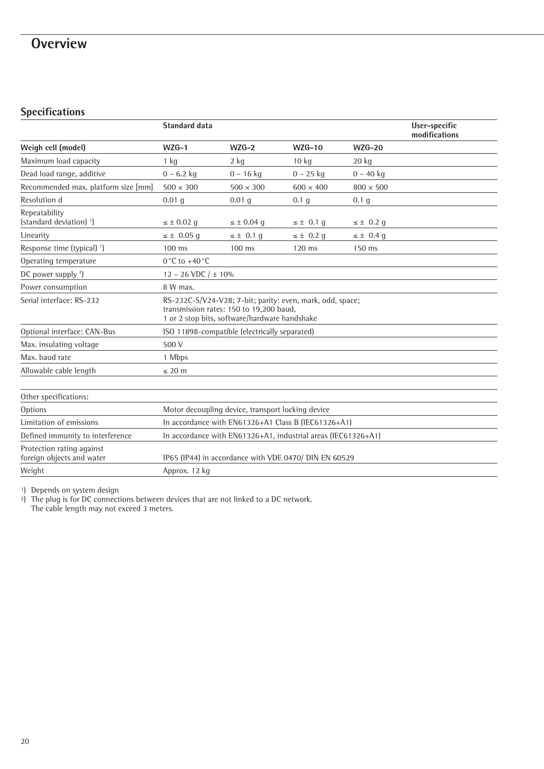## **Overview**

## **Specifications**

|                                                        | <b>Standard data</b>                                                                                                                                  |                                  |                  |                  | User-specific<br>modifications |
|--------------------------------------------------------|-------------------------------------------------------------------------------------------------------------------------------------------------------|----------------------------------|------------------|------------------|--------------------------------|
| Weigh cell (model)                                     | $WZG-1$                                                                                                                                               | $WZG-2$                          | $WZG-10$         | $WZG-20$         |                                |
| Maximum load capacity                                  | $1$ kg                                                                                                                                                | $2$ kg                           | $10 \text{ kg}$  | $20 \text{ kg}$  |                                |
| Dead load range, additive                              | $0 - 6.2$ kg                                                                                                                                          | $0 - 16$ kg                      | $0 - 25$ kg      | $0 - 40$ kg      |                                |
| Recommended max. platform size [mm]                    | $500 \times 300$                                                                                                                                      | $500 \times 300$                 | $600 \times 400$ | $800 \times 500$ |                                |
| Resolution d                                           | $0.01$ g                                                                                                                                              | $0.01$ g                         | 0.1 <sub>g</sub> | 0.1 <sub>q</sub> |                                |
| Repeatability<br>(standard deviation) <sup>1</sup> )   | $\leq \pm 0.02$ q                                                                                                                                     | $\leq \pm 0.04$ q                | $\leq \pm 0.1$ q | $\leq \pm 0.2$ q |                                |
| Linearity                                              | $\leq \pm 0.05$ g                                                                                                                                     | $\leq \pm 0.1$ q                 | $\leq \pm 0.2$ g | $\leq \pm 0.4$ g |                                |
| Response time (typical) <sup>1</sup> )                 | $100$ ms                                                                                                                                              | $100$ ms                         | $120$ ms         | 150 ms           |                                |
| Operating temperature                                  | $0^{\circ}$ C to +40 $^{\circ}$ C                                                                                                                     |                                  |                  |                  |                                |
| DC power supply $2$ )                                  |                                                                                                                                                       | $12 - 26 \text{ VDC} / \pm 10\%$ |                  |                  |                                |
| Power consumption                                      | 8 W max.                                                                                                                                              |                                  |                  |                  |                                |
| Serial interface: RS-232                               | RS-232C-S/V24-V28; 7-bit; parity: even, mark, odd, space;<br>transmission rates: 150 to 19.200 baud.<br>1 or 2 stop bits, software/hardware handshake |                                  |                  |                  |                                |
| Optional interface: CAN-Bus                            | ISO 11898-compatible (electrically separated)                                                                                                         |                                  |                  |                  |                                |
| Max. insulating voltage                                | 500 V                                                                                                                                                 |                                  |                  |                  |                                |
| Max. baud rate                                         | 1 Mbps                                                                                                                                                |                                  |                  |                  |                                |
| Allowable cable length                                 | $\leq$ 20 m                                                                                                                                           |                                  |                  |                  |                                |
|                                                        |                                                                                                                                                       |                                  |                  |                  |                                |
| Other specifications:                                  |                                                                                                                                                       |                                  |                  |                  |                                |
| Options                                                | Motor decoupling device, transport locking device                                                                                                     |                                  |                  |                  |                                |
| Limitation of emissions                                | In accordance with EN61326+A1 Class B (IEC61326+A1)                                                                                                   |                                  |                  |                  |                                |
| Defined immunity to interference                       | In accordance with EN61326+A1, industrial areas (IEC61326+A1)                                                                                         |                                  |                  |                  |                                |
| Protection rating against<br>foreign objects and water | IP65 (IP44) in accordance with VDE 0470/ DIN EN 60529                                                                                                 |                                  |                  |                  |                                |
| Weight                                                 | Approx. 12 kg                                                                                                                                         |                                  |                  |                  |                                |

1) Depends on system design

2) The plug is for DC connections between devices that are not linked to a DC network. The cable length may not exceed 3 meters.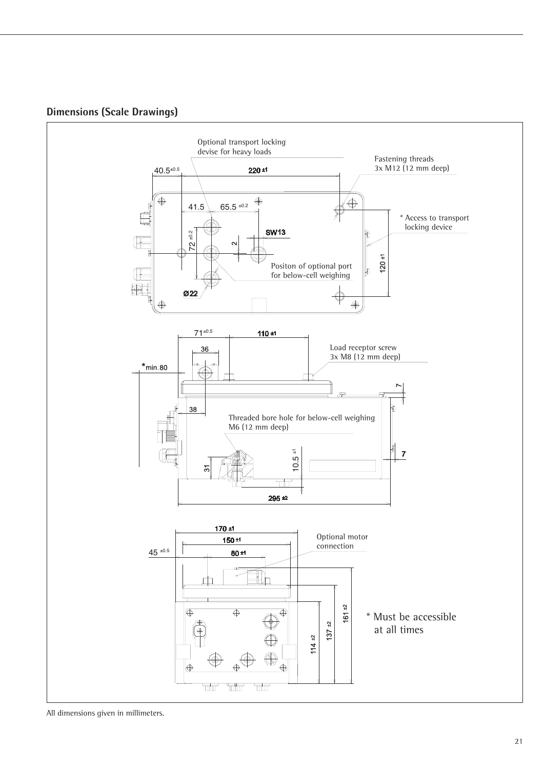



All dimensions given in millimeters.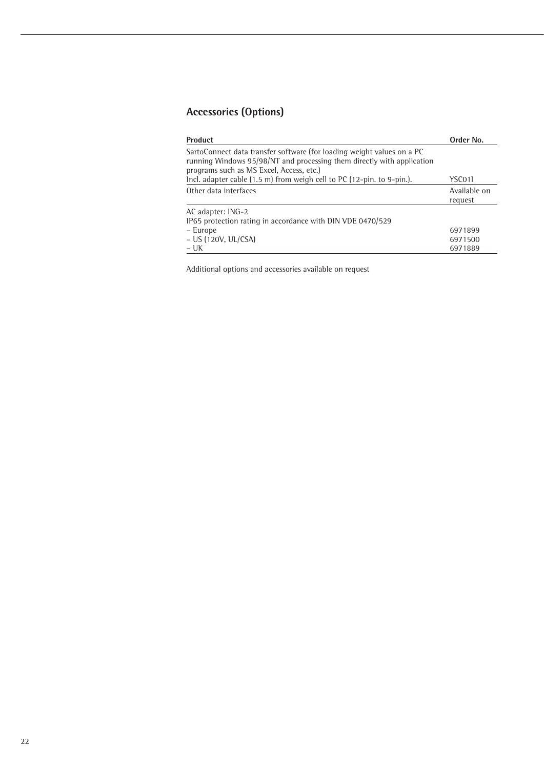## **Accessories (Options)**

| <b>Product</b>                                                                                                                                                                               | Order No.               |
|----------------------------------------------------------------------------------------------------------------------------------------------------------------------------------------------|-------------------------|
| SartoConnect data transfer software (for loading weight values on a PC<br>running Windows 95/98/NT and processing them directly with application<br>programs such as MS Excel, Access, etc.) |                         |
| Incl. adapter cable $(1.5 \text{ m})$ from weigh cell to PC $(12-\text{pin. to }9-\text{pin.})$ .                                                                                            | YSC011                  |
| Other data interfaces                                                                                                                                                                        | Available on<br>request |
| AC adapter: ING-2<br>IP65 protection rating in accordance with DIN VDE 0470/529                                                                                                              |                         |
| - Europe                                                                                                                                                                                     | 6971899                 |
| $- US (120V, UL/CSA)$                                                                                                                                                                        | 6971500                 |
| $- UK$                                                                                                                                                                                       | 6971889                 |

Additional options and accessories available on request